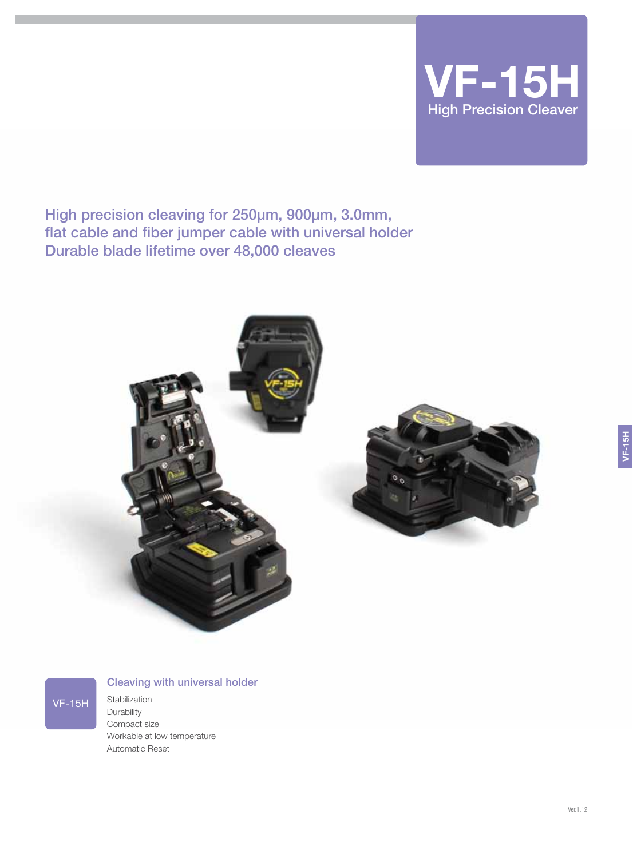

High precision cleaving for 250μm, 900μm, 3.0mm, flat cable and fiber jumper cable with universal holder Durable blade lifetime over 48,000 cleaves





## Cleaving with universal holder

**Stabilization Durability** Compact size Workable at low temperature Automatic Reset

VF-15H

VF-15H

Ver.1.12